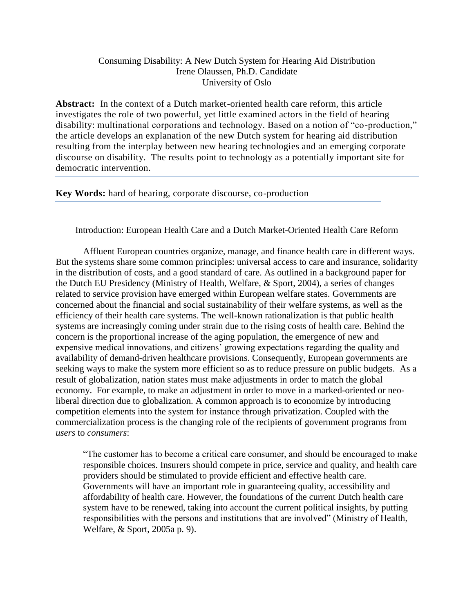# Consuming Disability: A New Dutch System for Hearing Aid Distribution Irene Olaussen, Ph.D. Candidate University of Oslo

**Abstract:** In the context of a Dutch market-oriented health care reform, this article investigates the role of two powerful, yet little examined actors in the field of hearing disability: multinational corporations and technology. Based on a notion of "co-production," the article develops an explanation of the new Dutch system for hearing aid distribution resulting from the interplay between new hearing technologies and an emerging corporate discourse on disability. The results point to technology as a potentially important site for democratic intervention.

**Key Words:** hard of hearing, corporate discourse, co-production

Introduction: European Health Care and a Dutch Market-Oriented Health Care Reform

Affluent European countries organize, manage, and finance health care in different ways. But the systems share some common principles: universal access to care and insurance, solidarity in the distribution of costs, and a good standard of care. As outlined in a background paper for the Dutch EU Presidency (Ministry of Health, Welfare, & Sport, 2004), a series of changes related to service provision have emerged within European welfare states. Governments are concerned about the financial and social sustainability of their welfare systems, as well as the efficiency of their health care systems. The well-known rationalization is that public health systems are increasingly coming under strain due to the rising costs of health care. Behind the concern is the proportional increase of the aging population, the emergence of new and expensive medical innovations, and citizens' growing expectations regarding the quality and availability of demand-driven healthcare provisions. Consequently, European governments are seeking ways to make the system more efficient so as to reduce pressure on public budgets. As a result of globalization, nation states must make adjustments in order to match the global economy. For example, to make an adjustment in order to move in a marked-oriented or neoliberal direction due to globalization. A common approach is to economize by introducing competition elements into the system for instance through privatization. Coupled with the commercialization process is the changing role of the recipients of government programs from *users* to *consumers*:

"The customer has to become a critical care consumer, and should be encouraged to make responsible choices. Insurers should compete in price, service and quality, and health care providers should be stimulated to provide efficient and effective health care. Governments will have an important role in guaranteeing quality, accessibility and affordability of health care. However, the foundations of the current Dutch health care system have to be renewed, taking into account the current political insights, by putting responsibilities with the persons and institutions that are involved" (Ministry of Health, Welfare, & Sport, 2005a p. 9).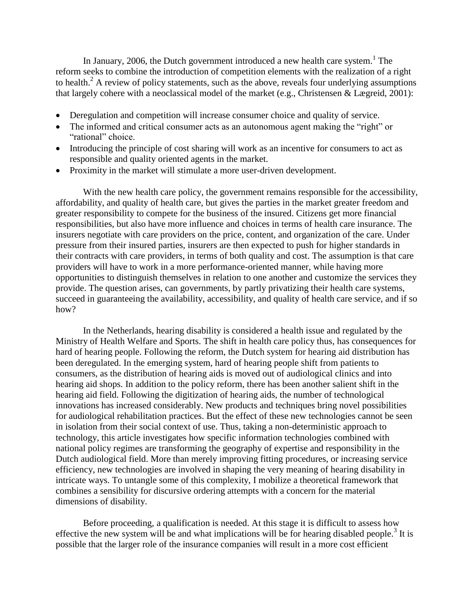In January, 2006, the Dutch government introduced a new health care system.<sup>1</sup> The reform seeks to combine the introduction of competition elements with the realization of a right to health.<sup>2</sup> A review of policy statements, such as the above, reveals four underlying assumptions that largely cohere with a neoclassical model of the market (e.g., Christensen & Lægreid, 2001):

- Deregulation and competition will increase consumer choice and quality of service.
- The informed and critical consumer acts as an autonomous agent making the "right" or "rational" choice.
- Introducing the principle of cost sharing will work as an incentive for consumers to act as responsible and quality oriented agents in the market.
- Proximity in the market will stimulate a more user-driven development.

With the new health care policy, the government remains responsible for the accessibility, affordability, and quality of health care, but gives the parties in the market greater freedom and greater responsibility to compete for the business of the insured. Citizens get more financial responsibilities, but also have more influence and choices in terms of health care insurance. The insurers negotiate with care providers on the price, content, and organization of the care. Under pressure from their insured parties, insurers are then expected to push for higher standards in their contracts with care providers, in terms of both quality and cost. The assumption is that care providers will have to work in a more performance-oriented manner, while having more opportunities to distinguish themselves in relation to one another and customize the services they provide. The question arises, can governments, by partly privatizing their health care systems, succeed in guaranteeing the availability, accessibility, and quality of health care service, and if so how?

In the Netherlands, hearing disability is considered a health issue and regulated by the Ministry of Health Welfare and Sports. The shift in health care policy thus, has consequences for hard of hearing people. Following the reform, the Dutch system for hearing aid distribution has been deregulated. In the emerging system, hard of hearing people shift from patients to consumers, as the distribution of hearing aids is moved out of audiological clinics and into hearing aid shops. In addition to the policy reform, there has been another salient shift in the hearing aid field. Following the digitization of hearing aids, the number of technological innovations has increased considerably. New products and techniques bring novel possibilities for audiological rehabilitation practices. But the effect of these new technologies cannot be seen in isolation from their social context of use. Thus, taking a non-deterministic approach to technology, this article investigates how specific information technologies combined with national policy regimes are transforming the geography of expertise and responsibility in the Dutch audiological field. More than merely improving fitting procedures, or increasing service efficiency, new technologies are involved in shaping the very meaning of hearing disability in intricate ways. To untangle some of this complexity, I mobilize a theoretical framework that combines a sensibility for discursive ordering attempts with a concern for the material dimensions of disability.

Before proceeding, a qualification is needed. At this stage it is difficult to assess how effective the new system will be and what implications will be for hearing disabled people.<sup>3</sup> It is possible that the larger role of the insurance companies will result in a more cost efficient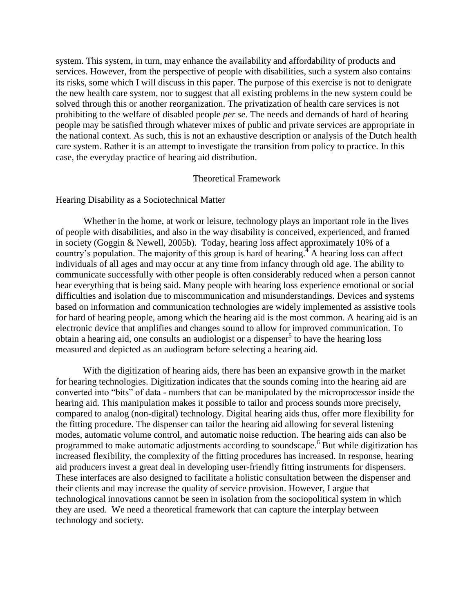system. This system, in turn, may enhance the availability and affordability of products and services. However, from the perspective of people with disabilities, such a system also contains its risks, some which I will discuss in this paper. The purpose of this exercise is not to denigrate the new health care system, nor to suggest that all existing problems in the new system could be solved through this or another reorganization. The privatization of health care services is not prohibiting to the welfare of disabled people *per se*. The needs and demands of hard of hearing people may be satisfied through whatever mixes of public and private services are appropriate in the national context. As such, this is not an exhaustive description or analysis of the Dutch health care system. Rather it is an attempt to investigate the transition from policy to practice. In this case, the everyday practice of hearing aid distribution.

#### Theoretical Framework

# Hearing Disability as a Sociotechnical Matter

Whether in the home, at work or leisure, technology plays an important role in the lives of people with disabilities, and also in the way disability is conceived, experienced, and framed in society (Goggin & Newell, 2005b). Today, hearing loss affect approximately 10% of a country's population. The majority of this group is hard of hearing.<sup>4</sup> A hearing loss can affect individuals of all ages and may occur at any time from infancy through old age. The ability to communicate successfully with other people is often considerably reduced when a person cannot hear everything that is being said. Many people with hearing loss experience emotional or social difficulties and isolation due to miscommunication and misunderstandings. Devices and systems based on information and communication technologies are widely implemented as assistive tools for hard of hearing people, among which the hearing aid is the most common. A hearing aid is an electronic device that amplifies and changes sound to allow for improved communication. To obtain a hearing aid, one consults an audiologist or a dispenser<sup>5</sup> to have the hearing loss measured and depicted as an audiogram before selecting a hearing aid.

With the digitization of hearing aids, there has been an expansive growth in the market for hearing technologies. Digitization indicates that the sounds coming into the hearing aid are converted into "bits" of data - numbers that can be manipulated by the microprocessor inside the hearing aid. This manipulation makes it possible to tailor and process sounds more precisely, compared to analog (non-digital) technology. Digital hearing aids thus, offer more flexibility for the fitting procedure. The dispenser can tailor the hearing aid allowing for several listening modes, automatic volume control, and automatic noise reduction. The hearing aids can also be programmed to make automatic adjustments according to soundscape.<sup>6</sup> But while digitization has increased flexibility, the complexity of the fitting procedures has increased. In response, hearing aid producers invest a great deal in developing user-friendly fitting instruments for dispensers. These interfaces are also designed to facilitate a holistic consultation between the dispenser and their clients and may increase the quality of service provision. However, I argue that technological innovations cannot be seen in isolation from the sociopolitical system in which they are used. We need a theoretical framework that can capture the interplay between technology and society.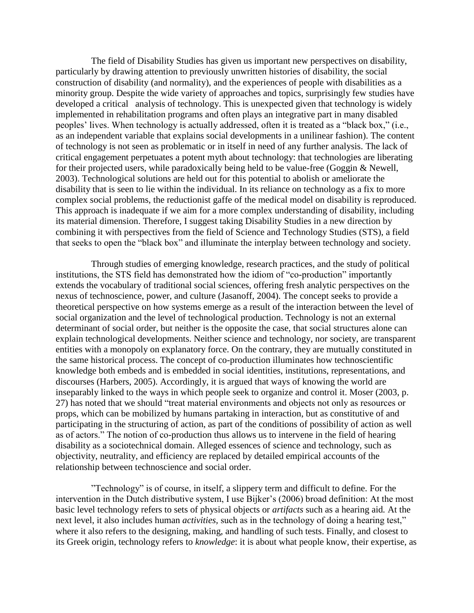The field of Disability Studies has given us important new perspectives on disability, particularly by drawing attention to previously unwritten histories of disability, the social construction of disability (and normality), and the experiences of people with disabilities as a minority group. Despite the wide variety of approaches and topics, surprisingly few studies have developed a critical analysis of technology. This is unexpected given that technology is widely implemented in rehabilitation programs and often plays an integrative part in many disabled peoples' lives. When technology is actually addressed, often it is treated as a "black box," (i.e., as an independent variable that explains social developments in a unilinear fashion). The content of technology is not seen as problematic or in itself in need of any further analysis. The lack of critical engagement perpetuates a potent myth about technology: that technologies are liberating for their projected users, while paradoxically being held to be value-free (Goggin & Newell, 2003). Technological solutions are held out for this potential to abolish or ameliorate the disability that is seen to lie within the individual. In its reliance on technology as a fix to more complex social problems, the reductionist gaffe of the medical model on disability is reproduced. This approach is inadequate if we aim for a more complex understanding of disability, including its material dimension. Therefore, I suggest taking Disability Studies in a new direction by combining it with perspectives from the field of Science and Technology Studies (STS), a field that seeks to open the "black box" and illuminate the interplay between technology and society.

Through studies of emerging knowledge, research practices, and the study of political institutions, the STS field has demonstrated how the idiom of "co-production" importantly extends the vocabulary of traditional social sciences, offering fresh analytic perspectives on the nexus of technoscience, power, and culture (Jasanoff, 2004). The concept seeks to provide a theoretical perspective on how systems emerge as a result of the interaction between the level of social organization and the level of technological production. Technology is not an external determinant of social order, but neither is the opposite the case, that social structures alone can explain technological developments. Neither science and technology, nor society, are transparent entities with a monopoly on explanatory force. On the contrary, they are mutually constituted in the same historical process. The concept of co-production illuminates how technoscientific knowledge both embeds and is embedded in social identities, institutions, representations, and discourses (Harbers, 2005). Accordingly, it is argued that ways of knowing the world are inseparably linked to the ways in which people seek to organize and control it. Moser (2003, p. 27) has noted that we should "treat material environments and objects not only as resources or props, which can be mobilized by humans partaking in interaction, but as constitutive of and participating in the structuring of action, as part of the conditions of possibility of action as well as of actors." The notion of co-production thus allows us to intervene in the field of hearing disability as a sociotechnical domain. Alleged essences of science and technology, such as objectivity, neutrality, and efficiency are replaced by detailed empirical accounts of the relationship between technoscience and social order.

"Technology" is of course, in itself, a slippery term and difficult to define. For the intervention in the Dutch distributive system, I use Bijker's (2006) broad definition: At the most basic level technology refers to sets of physical objects or *artifacts* such as a hearing aid*.* At the next level, it also includes human *activities,* such as in the technology of doing a hearing test," where it also refers to the designing, making, and handling of such tests. Finally, and closest to its Greek origin, technology refers to *knowledge*: it is about what people know, their expertise, as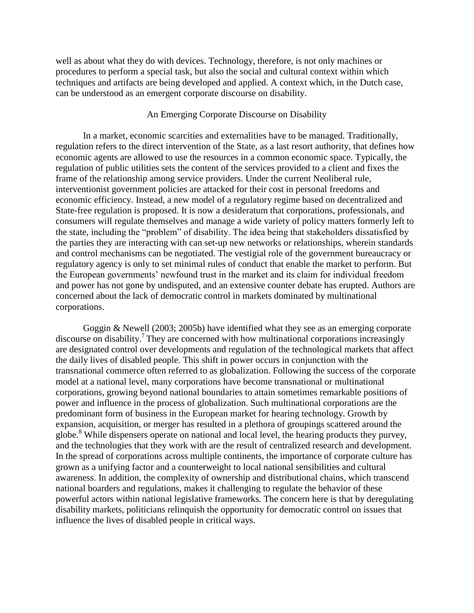well as about what they do with devices. Technology, therefore, is not only machines or procedures to perform a special task, but also the social and cultural context within which techniques and artifacts are being developed and applied. A context which, in the Dutch case, can be understood as an emergent corporate discourse on disability.

#### An Emerging Corporate Discourse on Disability

In a market, economic scarcities and externalities have to be managed. Traditionally, regulation refers to the direct intervention of the State, as a last resort authority, that defines how economic agents are allowed to use the resources in a common economic space. Typically, the regulation of public utilities sets the content of the services provided to a client and fixes the frame of the relationship among service providers. Under the current Neoliberal rule, interventionist government policies are attacked for their cost in personal freedoms and economic efficiency. Instead, a new model of a regulatory regime based on decentralized and State-free regulation is proposed. It is now a desideratum that corporations, professionals, and consumers will regulate themselves and manage a wide variety of policy matters formerly left to the state, including the "problem" of disability. The idea being that stakeholders dissatisfied by the parties they are interacting with can set-up new networks or relationships, wherein standards and control mechanisms can be negotiated. The vestigial role of the government bureaucracy or regulatory agency is only to set minimal rules of conduct that enable the market to perform. But the European governments' newfound trust in the market and its claim for individual freedom and power has not gone by undisputed, and an extensive counter debate has erupted. Authors are concerned about the lack of democratic control in markets dominated by multinational corporations.

Goggin & Newell (2003; 2005b) have identified what they see as an emerging corporate discourse on disability. 7 They are concerned with how multinational corporations increasingly are designated control over developments and regulation of the technological markets that affect the daily lives of disabled people. This shift in power occurs in conjunction with the transnational commerce often referred to as globalization. Following the success of the corporate model at a national level, many corporations have become transnational or multinational corporations, growing beyond national boundaries to attain sometimes remarkable positions of power and influence in the process of globalization. Such multinational corporations are the predominant form of business in the European market for hearing technology. Growth by expansion, acquisition, or merger has resulted in a plethora of groupings scattered around the globe.<sup>8</sup> While dispensers operate on national and local level, the hearing products they purvey, and the technologies that they work with are the result of centralized research and development. In the spread of corporations across multiple continents, the importance of corporate culture has grown as a unifying factor and a counterweight to local national sensibilities and cultural awareness. In addition, the complexity of ownership and distributional chains, which transcend national boarders and regulations, makes it challenging to regulate the behavior of these powerful actors within national legislative frameworks. The concern here is that by deregulating disability markets, politicians relinquish the opportunity for democratic control on issues that influence the lives of disabled people in critical ways.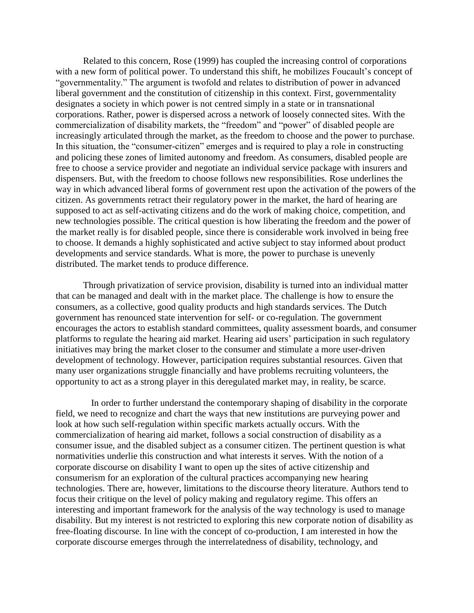Related to this concern, Rose (1999) has coupled the increasing control of corporations with a new form of political power. To understand this shift, he mobilizes Foucault's concept of "governmentality." The argument is twofold and relates to distribution of power in advanced liberal government and the constitution of citizenship in this context. First, governmentality designates a society in which power is not centred simply in a state or in transnational corporations. Rather, power is dispersed across a network of loosely connected sites. With the commercialization of disability markets, the "freedom" and "power" of disabled people are increasingly articulated through the market, as the freedom to choose and the power to purchase. In this situation, the "consumer-citizen" emerges and is required to play a role in constructing and policing these zones of limited autonomy and freedom. As consumers, disabled people are free to choose a service provider and negotiate an individual service package with insurers and dispensers. But, with the freedom to choose follows new responsibilities. Rose underlines the way in which advanced liberal forms of government rest upon the activation of the powers of the citizen. As governments retract their regulatory power in the market, the hard of hearing are supposed to act as self-activating citizens and do the work of making choice, competition, and new technologies possible. The critical question is how liberating the freedom and the power of the market really is for disabled people, since there is considerable work involved in being free to choose. It demands a highly sophisticated and active subject to stay informed about product developments and service standards. What is more, the power to purchase is unevenly distributed. The market tends to produce difference.

Through privatization of service provision, disability is turned into an individual matter that can be managed and dealt with in the market place. The challenge is how to ensure the consumers, as a collective, good quality products and high standards services. The Dutch government has renounced state intervention for self- or co-regulation. The government encourages the actors to establish standard committees, quality assessment boards, and consumer platforms to regulate the hearing aid market. Hearing aid users' participation in such regulatory initiatives may bring the market closer to the consumer and stimulate a more user-driven development of technology. However, participation requires substantial resources. Given that many user organizations struggle financially and have problems recruiting volunteers, the opportunity to act as a strong player in this deregulated market may, in reality, be scarce.

In order to further understand the contemporary shaping of disability in the corporate field, we need to recognize and chart the ways that new institutions are purveying power and look at how such self-regulation within specific markets actually occurs. With the commercialization of hearing aid market, follows a social construction of disability as a consumer issue, and the disabled subject as a consumer citizen. The pertinent question is what normativities underlie this construction and what interests it serves. With the notion of a corporate discourse on disability I want to open up the sites of active citizenship and consumerism for an exploration of the cultural practices accompanying new hearing technologies. There are, however, limitations to the discourse theory literature. Authors tend to focus their critique on the level of policy making and regulatory regime. This offers an interesting and important framework for the analysis of the way technology is used to manage disability. But my interest is not restricted to exploring this new corporate notion of disability as free-floating discourse. In line with the concept of co-production, I am interested in how the corporate discourse emerges through the interrelatedness of disability, technology, and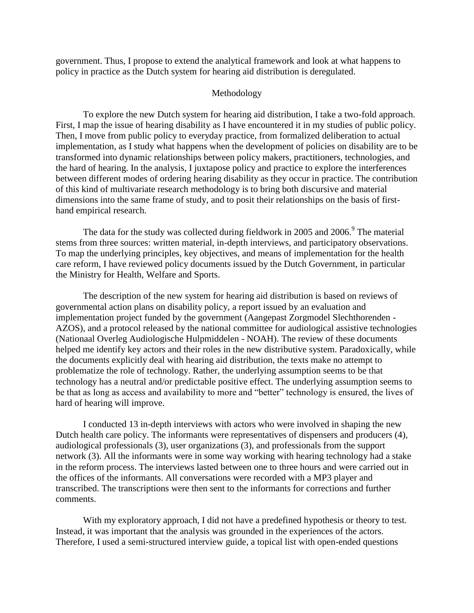government. Thus, I propose to extend the analytical framework and look at what happens to policy in practice as the Dutch system for hearing aid distribution is deregulated.

## Methodology

To explore the new Dutch system for hearing aid distribution, I take a two-fold approach. First, I map the issue of hearing disability as I have encountered it in my studies of public policy. Then, I move from public policy to everyday practice, from formalized deliberation to actual implementation, as I study what happens when the development of policies on disability are to be transformed into dynamic relationships between policy makers, practitioners, technologies, and the hard of hearing. In the analysis, I juxtapose policy and practice to explore the interferences between different modes of ordering hearing disability as they occur in practice. The contribution of this kind of multivariate research methodology is to bring both discursive and material dimensions into the same frame of study, and to posit their relationships on the basis of firsthand empirical research.

The data for the study was collected during fieldwork in 2005 and 2006. $9$  The material stems from three sources: written material, in-depth interviews, and participatory observations. To map the underlying principles, key objectives, and means of implementation for the health care reform, I have reviewed policy documents issued by the Dutch Government, in particular the Ministry for Health, Welfare and Sports.

The description of the new system for hearing aid distribution is based on reviews of governmental action plans on disability policy, a report issued by an evaluation and implementation project funded by the government (Aangepast Zorgmodel Slechthorenden - AZOS), and a protocol released by the national committee for audiological assistive technologies (Nationaal Overleg Audiologische Hulpmiddelen - NOAH). The review of these documents helped me identify key actors and their roles in the new distributive system. Paradoxically, while the documents explicitly deal with hearing aid distribution, the texts make no attempt to problematize the role of technology. Rather, the underlying assumption seems to be that technology has a neutral and/or predictable positive effect. The underlying assumption seems to be that as long as access and availability to more and "better" technology is ensured, the lives of hard of hearing will improve.

I conducted 13 in-depth interviews with actors who were involved in shaping the new Dutch health care policy. The informants were representatives of dispensers and producers (4), audiological professionals (3), user organizations (3), and professionals from the support network (3). All the informants were in some way working with hearing technology had a stake in the reform process. The interviews lasted between one to three hours and were carried out in the offices of the informants. All conversations were recorded with a MP3 player and transcribed. The transcriptions were then sent to the informants for corrections and further comments.

With my exploratory approach, I did not have a predefined hypothesis or theory to test. Instead, it was important that the analysis was grounded in the experiences of the actors. Therefore, I used a semi-structured interview guide, a topical list with open-ended questions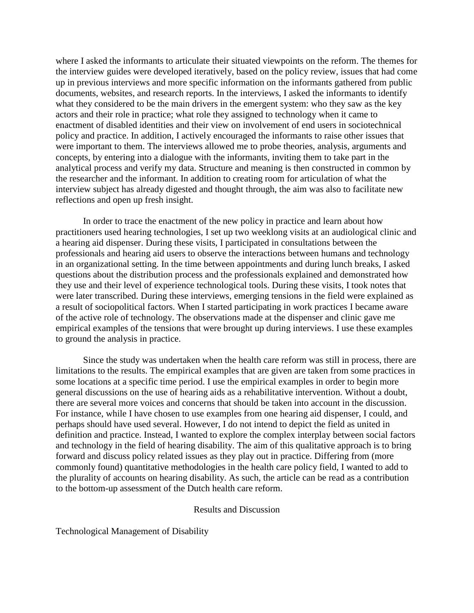where I asked the informants to articulate their situated viewpoints on the reform. The themes for the interview guides were developed iteratively, based on the policy review, issues that had come up in previous interviews and more specific information on the informants gathered from public documents, websites, and research reports. In the interviews, I asked the informants to identify what they considered to be the main drivers in the emergent system: who they saw as the key actors and their role in practice; what role they assigned to technology when it came to enactment of disabled identities and their view on involvement of end users in sociotechnical policy and practice. In addition, I actively encouraged the informants to raise other issues that were important to them. The interviews allowed me to probe theories, analysis, arguments and concepts, by entering into a dialogue with the informants, inviting them to take part in the analytical process and verify my data. Structure and meaning is then constructed in common by the researcher and the informant. In addition to creating room for articulation of what the interview subject has already digested and thought through, the aim was also to facilitate new reflections and open up fresh insight.

In order to trace the enactment of the new policy in practice and learn about how practitioners used hearing technologies, I set up two weeklong visits at an audiological clinic and a hearing aid dispenser. During these visits, I participated in consultations between the professionals and hearing aid users to observe the interactions between humans and technology in an organizational setting. In the time between appointments and during lunch breaks, I asked questions about the distribution process and the professionals explained and demonstrated how they use and their level of experience technological tools. During these visits, I took notes that were later transcribed. During these interviews, emerging tensions in the field were explained as a result of sociopolitical factors. When I started participating in work practices I became aware of the active role of technology. The observations made at the dispenser and clinic gave me empirical examples of the tensions that were brought up during interviews. I use these examples to ground the analysis in practice.

Since the study was undertaken when the health care reform was still in process, there are limitations to the results. The empirical examples that are given are taken from some practices in some locations at a specific time period. I use the empirical examples in order to begin more general discussions on the use of hearing aids as a rehabilitative intervention. Without a doubt, there are several more voices and concerns that should be taken into account in the discussion. For instance, while I have chosen to use examples from one hearing aid dispenser, I could, and perhaps should have used several. However, I do not intend to depict the field as united in definition and practice. Instead, I wanted to explore the complex interplay between social factors and technology in the field of hearing disability. The aim of this qualitative approach is to bring forward and discuss policy related issues as they play out in practice. Differing from (more commonly found) quantitative methodologies in the health care policy field, I wanted to add to the plurality of accounts on hearing disability. As such, the article can be read as a contribution to the bottom-up assessment of the Dutch health care reform.

## Results and Discussion

Technological Management of Disability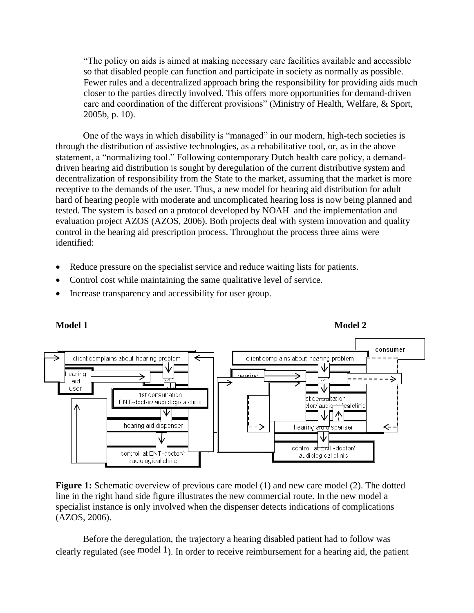"The policy on aids is aimed at making necessary care facilities available and accessible so that disabled people can function and participate in society as normally as possible. Fewer rules and a decentralized approach bring the responsibility for providing aids much closer to the parties directly involved. This offers more opportunities for demand-driven care and coordination of the different provisions" (Ministry of Health, Welfare, & Sport, 2005b, p. 10).

One of the ways in which disability is "managed" in our modern, high-tech societies is through the distribution of assistive technologies, as a rehabilitative tool, or, as in the above statement, a "normalizing tool." Following contemporary Dutch health care policy, a demanddriven hearing aid distribution is sought by deregulation of the current distributive system and decentralization of responsibility from the State to the market, assuming that the market is more receptive to the demands of the user. Thus, a new model for hearing aid distribution for adult hard of hearing people with moderate and uncomplicated hearing loss is now being planned and tested. The system is based on a protocol developed by NOAH and the implementation and evaluation project AZOS (AZOS, 2006). Both projects deal with system innovation and quality control in the hearing aid prescription process. Throughout the process three aims were identified:

- Reduce pressure on the specialist service and reduce waiting lists for patients.
- Control cost while maintaining the same qualitative level of service.
- <span id="page-8-1"></span>• Increase transparency and accessibility for user group.

<span id="page-8-0"></span>

**Figure 1:** Schematic overview of previous care model (1) and new care model (2). The dotted line in the right hand side figure illustrates the new commercial route. In the new model a specialist instance is only involved when the dispenser detects indications of complications (AZOS, 2006).

Before the deregulation, the trajectory a hearing disabled patient had to follow was clearly regulated (see  $\frac{\text{model 1}}{\text{model 1}}$ ). In order to receive reimbursement for a hearing aid, the patient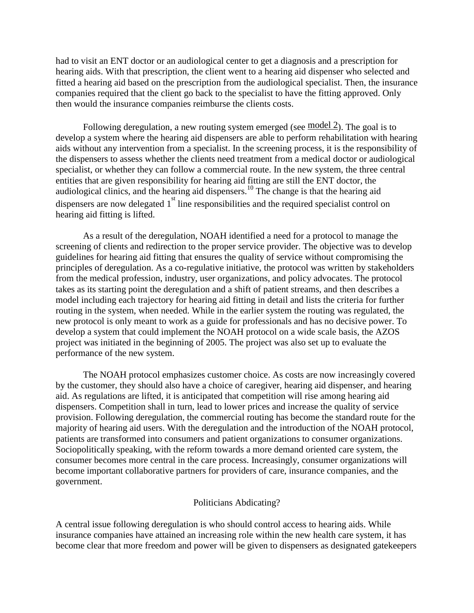had to visit an ENT doctor or an audiological center to get a diagnosis and a prescription for hearing aids. With that prescription, the client went to a hearing aid dispenser who selected and fitted a hearing aid based on the prescription from the audiological specialist. Then, the insurance companies required that the client go back to the specialist to have the fitting approved. Only then would the insurance companies reimburse the clients costs.

Following deregulation, a new routing system emerged (see [model 2\)](#page-8-1). The goal is to develop a system where the hearing aid dispensers are able to perform rehabilitation with hearing aids without any intervention from a specialist. In the screening process, it is the responsibility of the dispensers to assess whether the clients need treatment from a medical doctor or audiological specialist, or whether they can follow a commercial route. In the new system, the three central entities that are given responsibility for hearing aid fitting are still the ENT doctor, the audiological clinics, and the hearing aid dispensers.<sup>10</sup> The change is that the hearing aid dispensers are now delegated  $1<sup>st</sup>$  line responsibilities and the required specialist control on hearing aid fitting is lifted.

As a result of the deregulation, NOAH identified a need for a protocol to manage the screening of clients and redirection to the proper service provider. The objective was to develop guidelines for hearing aid fitting that ensures the quality of service without compromising the principles of deregulation. As a co-regulative initiative, the protocol was written by stakeholders from the medical profession, industry, user organizations, and policy advocates. The protocol takes as its starting point the deregulation and a shift of patient streams, and then describes a model including each trajectory for hearing aid fitting in detail and lists the criteria for further routing in the system, when needed. While in the earlier system the routing was regulated, the new protocol is only meant to work as a guide for professionals and has no decisive power. To develop a system that could implement the NOAH protocol on a wide scale basis, the AZOS project was initiated in the beginning of 2005. The project was also set up to evaluate the performance of the new system.

The NOAH protocol emphasizes customer choice. As costs are now increasingly covered by the customer, they should also have a choice of caregiver, hearing aid dispenser, and hearing aid. As regulations are lifted, it is anticipated that competition will rise among hearing aid dispensers. Competition shall in turn, lead to lower prices and increase the quality of service provision. Following deregulation, the commercial routing has become the standard route for the majority of hearing aid users. With the deregulation and the introduction of the NOAH protocol, patients are transformed into consumers and patient organizations to consumer organizations. Sociopolitically speaking, with the reform towards a more demand oriented care system, the consumer becomes more central in the care process. Increasingly, consumer organizations will become important collaborative partners for providers of care, insurance companies, and the government.

# Politicians Abdicating?

A central issue following deregulation is who should control access to hearing aids. While insurance companies have attained an increasing role within the new health care system, it has become clear that more freedom and power will be given to dispensers as designated gatekeepers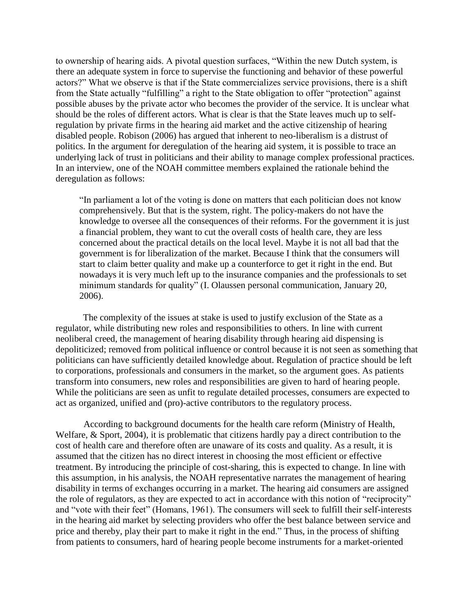to ownership of hearing aids. A pivotal question surfaces, "Within the new Dutch system, is there an adequate system in force to supervise the functioning and behavior of these powerful actors?" What we observe is that if the State commercializes service provisions, there is a shift from the State actually "fulfilling" a right to the State obligation to offer "protection" against possible abuses by the private actor who becomes the provider of the service. It is unclear what should be the roles of different actors. What is clear is that the State leaves much up to selfregulation by private firms in the hearing aid market and the active citizenship of hearing disabled people. Robison (2006) has argued that inherent to neo-liberalism is a distrust of politics. In the argument for deregulation of the hearing aid system, it is possible to trace an underlying lack of trust in politicians and their ability to manage complex professional practices. In an interview, one of the NOAH committee members explained the rationale behind the deregulation as follows:

"In parliament a lot of the voting is done on matters that each politician does not know comprehensively. But that is the system, right. The policy-makers do not have the knowledge to oversee all the consequences of their reforms. For the government it is just a financial problem, they want to cut the overall costs of health care, they are less concerned about the practical details on the local level. Maybe it is not all bad that the government is for liberalization of the market. Because I think that the consumers will start to claim better quality and make up a counterforce to get it right in the end. But nowadays it is very much left up to the insurance companies and the professionals to set minimum standards for quality" (I. Olaussen personal communication, January 20, 2006).

The complexity of the issues at stake is used to justify exclusion of the State as a regulator, while distributing new roles and responsibilities to others. In line with current neoliberal creed, the management of hearing disability through hearing aid dispensing is depoliticized; removed from political influence or control because it is not seen as something that politicians can have sufficiently detailed knowledge about. Regulation of practice should be left to corporations, professionals and consumers in the market, so the argument goes. As patients transform into consumers, new roles and responsibilities are given to hard of hearing people. While the politicians are seen as unfit to regulate detailed processes, consumers are expected to act as organized, unified and (pro)-active contributors to the regulatory process.

According to background documents for the health care reform (Ministry of Health, Welfare, & Sport, 2004), it is problematic that citizens hardly pay a direct contribution to the cost of health care and therefore often are unaware of its costs and quality. As a result, it is assumed that the citizen has no direct interest in choosing the most efficient or effective treatment. By introducing the principle of cost-sharing, this is expected to change. In line with this assumption, in his analysis, the NOAH representative narrates the management of hearing disability in terms of exchanges occurring in a market. The hearing aid consumers are assigned the role of regulators, as they are expected to act in accordance with this notion of "reciprocity" and "vote with their feet" (Homans, 1961). The consumers will seek to fulfill their self-interests in the hearing aid market by selecting providers who offer the best balance between service and price and thereby, play their part to make it right in the end." Thus, in the process of shifting from patients to consumers, hard of hearing people become instruments for a market-oriented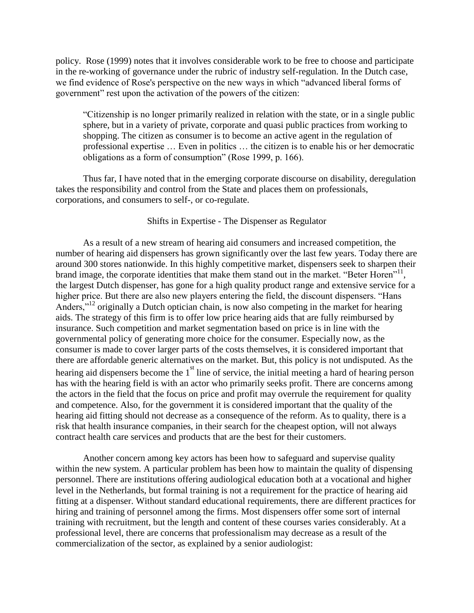policy. Rose (1999) notes that it involves considerable work to be free to choose and participate in the re-working of governance under the rubric of industry self-regulation. In the Dutch case, we find evidence of Rose's perspective on the new ways in which "advanced liberal forms of government" rest upon the activation of the powers of the citizen:

"Citizenship is no longer primarily realized in relation with the state, or in a single public sphere, but in a variety of private, corporate and quasi public practices from working to shopping. The citizen as consumer is to become an active agent in the regulation of professional expertise … Even in politics … the citizen is to enable his or her democratic obligations as a form of consumption" (Rose 1999, p. 166).

Thus far, I have noted that in the emerging corporate discourse on disability, deregulation takes the responsibility and control from the State and places them on professionals, corporations, and consumers to self-, or co-regulate.

## Shifts in Expertise - The Dispenser as Regulator

As a result of a new stream of hearing aid consumers and increased competition, the number of hearing aid dispensers has grown significantly over the last few years. Today there are around 300 stores nationwide. In this highly competitive market, dispensers seek to sharpen their brand image, the corporate identities that make them stand out in the market. "Beter Horen"<sup>11</sup>, the largest Dutch dispenser, has gone for a high quality product range and extensive service for a higher price. But there are also new players entering the field, the discount dispensers. "Hans Anders,"<sup>12</sup> originally a Dutch optician chain, is now also competing in the market for hearing aids. The strategy of this firm is to offer low price hearing aids that are fully reimbursed by insurance. Such competition and market segmentation based on price is in line with the governmental policy of generating more choice for the consumer. Especially now, as the consumer is made to cover larger parts of the costs themselves, it is considered important that there are affordable generic alternatives on the market. But, this policy is not undisputed. As the hearing aid dispensers become the  $1<sup>st</sup>$  line of service, the initial meeting a hard of hearing person has with the hearing field is with an actor who primarily seeks profit. There are concerns among the actors in the field that the focus on price and profit may overrule the requirement for quality and competence. Also, for the government it is considered important that the quality of the hearing aid fitting should not decrease as a consequence of the reform. As to quality, there is a risk that health insurance companies, in their search for the cheapest option, will not always contract health care services and products that are the best for their customers.

Another concern among key actors has been how to safeguard and supervise quality within the new system. A particular problem has been how to maintain the quality of dispensing personnel. There are institutions offering audiological education both at a vocational and higher level in the Netherlands, but formal training is not a requirement for the practice of hearing aid fitting at a dispenser. Without standard educational requirements, there are different practices for hiring and training of personnel among the firms. Most dispensers offer some sort of internal training with recruitment, but the length and content of these courses varies considerably. At a professional level, there are concerns that professionalism may decrease as a result of the commercialization of the sector, as explained by a senior audiologist: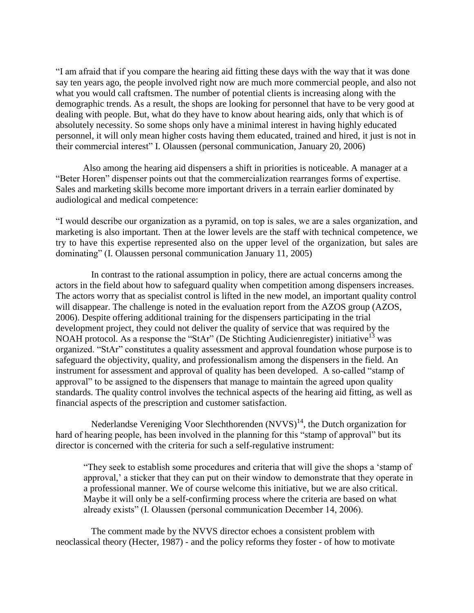"I am afraid that if you compare the hearing aid fitting these days with the way that it was done say ten years ago, the people involved right now are much more commercial people, and also not what you would call craftsmen. The number of potential clients is increasing along with the demographic trends. As a result, the shops are looking for personnel that have to be very good at dealing with people. But, what do they have to know about hearing aids, only that which is of absolutely necessity. So some shops only have a minimal interest in having highly educated personnel, it will only mean higher costs having them educated, trained and hired, it just is not in their commercial interest" I. Olaussen (personal communication, January 20, 2006)

Also among the hearing aid dispensers a shift in priorities is noticeable. A manager at a "Beter Horen" dispenser points out that the commercialization rearranges forms of expertise. Sales and marketing skills become more important drivers in a terrain earlier dominated by audiological and medical competence:

"I would describe our organization as a pyramid, on top is sales, we are a sales organization, and marketing is also important. Then at the lower levels are the staff with technical competence, we try to have this expertise represented also on the upper level of the organization, but sales are dominating" (I. Olaussen personal communication January 11, 2005)

In contrast to the rational assumption in policy, there are actual concerns among the actors in the field about how to safeguard quality when competition among dispensers increases. The actors worry that as specialist control is lifted in the new model, an important quality control will disappear. The challenge is noted in the evaluation report from the AZOS group (AZOS, 2006). Despite offering additional training for the dispensers participating in the trial development project, they could not deliver the quality of service that was required by the NOAH protocol. As a response the "StAr" (De Stichting Audicienregister) initiative<sup>13</sup> was organized. "StAr" constitutes a quality assessment and approval foundation whose purpose is to safeguard the objectivity, quality, and professionalism among the dispensers in the field. An instrument for assessment and approval of quality has been developed. A so-called "stamp of approval" to be assigned to the dispensers that manage to maintain the agreed upon quality standards. The quality control involves the technical aspects of the hearing aid fitting, as well as financial aspects of the prescription and customer satisfaction.

Nederlandse Vereniging Voor Slechthorenden  $(NVVS)^{14}$ , the Dutch organization for hard of hearing people, has been involved in the planning for this "stamp of approval" but its director is concerned with the criteria for such a self-regulative instrument:

"They seek to establish some procedures and criteria that will give the shops a 'stamp of approval,' a sticker that they can put on their window to demonstrate that they operate in a professional manner. We of course welcome this initiative, but we are also critical. Maybe it will only be a self-confirming process where the criteria are based on what already exists" (I. Olaussen (personal communication December 14, 2006).

The comment made by the NVVS director echoes a consistent problem with neoclassical theory (Hecter, 1987) - and the policy reforms they foster - of how to motivate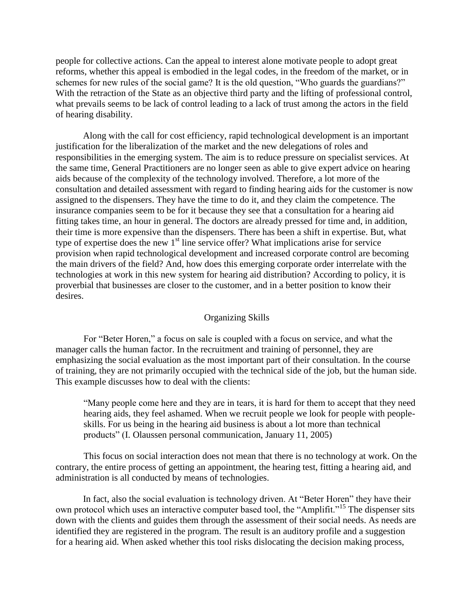people for collective actions. Can the appeal to interest alone motivate people to adopt great reforms, whether this appeal is embodied in the legal codes, in the freedom of the market, or in schemes for new rules of the social game? It is the old question, "Who guards the guardians?" With the retraction of the State as an objective third party and the lifting of professional control, what prevails seems to be lack of control leading to a lack of trust among the actors in the field of hearing disability.

Along with the call for cost efficiency, rapid technological development is an important justification for the liberalization of the market and the new delegations of roles and responsibilities in the emerging system. The aim is to reduce pressure on specialist services. At the same time, General Practitioners are no longer seen as able to give expert advice on hearing aids because of the complexity of the technology involved. Therefore, a lot more of the consultation and detailed assessment with regard to finding hearing aids for the customer is now assigned to the dispensers. They have the time to do it, and they claim the competence. The insurance companies seem to be for it because they see that a consultation for a hearing aid fitting takes time, an hour in general. The doctors are already pressed for time and, in addition, their time is more expensive than the dispensers. There has been a shift in expertise. But, what type of expertise does the new  $1<sup>st</sup>$  line service offer? What implications arise for service provision when rapid technological development and increased corporate control are becoming the main drivers of the field? And, how does this emerging corporate order interrelate with the technologies at work in this new system for hearing aid distribution? According to policy, it is proverbial that businesses are closer to the customer, and in a better position to know their desires.

## Organizing Skills

For "Beter Horen," a focus on sale is coupled with a focus on service, and what the manager calls the human factor. In the recruitment and training of personnel, they are emphasizing the social evaluation as the most important part of their consultation. In the course of training, they are not primarily occupied with the technical side of the job, but the human side. This example discusses how to deal with the clients:

"Many people come here and they are in tears, it is hard for them to accept that they need hearing aids, they feel ashamed. When we recruit people we look for people with peopleskills. For us being in the hearing aid business is about a lot more than technical products" (I. Olaussen personal communication, January 11, 2005)

This focus on social interaction does not mean that there is no technology at work. On the contrary, the entire process of getting an appointment, the hearing test, fitting a hearing aid, and administration is all conducted by means of technologies.

In fact, also the social evaluation is technology driven. At "Beter Horen" they have their own protocol which uses an interactive computer based tool, the "Amplifit."<sup>15</sup> The dispenser sits down with the clients and guides them through the assessment of their social needs. As needs are identified they are registered in the program. The result is an auditory profile and a suggestion for a hearing aid. When asked whether this tool risks dislocating the decision making process,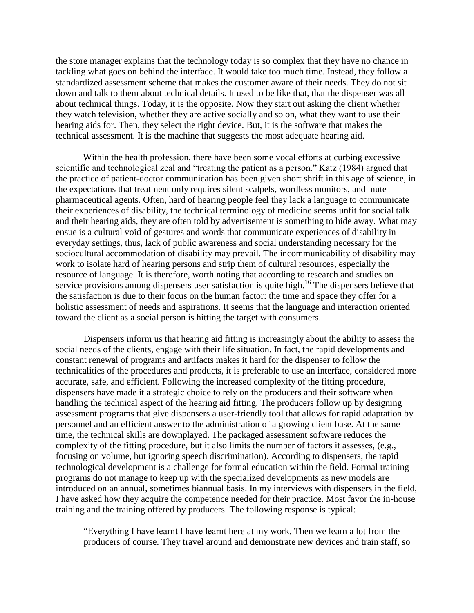the store manager explains that the technology today is so complex that they have no chance in tackling what goes on behind the interface. It would take too much time. Instead, they follow a standardized assessment scheme that makes the customer aware of their needs. They do not sit down and talk to them about technical details. It used to be like that, that the dispenser was all about technical things. Today, it is the opposite. Now they start out asking the client whether they watch television, whether they are active socially and so on, what they want to use their hearing aids for. Then, they select the right device. But, it is the software that makes the technical assessment. It is the machine that suggests the most adequate hearing aid.

Within the health profession, there have been some vocal efforts at curbing excessive scientific and technological zeal and "treating the patient as a person." Katz (1984) argued that the practice of patient-doctor communication has been given short shrift in this age of science, in the expectations that treatment only requires silent scalpels, wordless monitors, and mute pharmaceutical agents. Often, hard of hearing people feel they lack a language to communicate their experiences of disability, the technical terminology of medicine seems unfit for social talk and their hearing aids, they are often told by advertisement is something to hide away. What may ensue is a cultural void of gestures and words that communicate experiences of disability in everyday settings, thus, lack of public awareness and social understanding necessary for the sociocultural accommodation of disability may prevail. The incommunicability of disability may work to isolate hard of hearing persons and strip them of cultural resources, especially the resource of language. It is therefore, worth noting that according to research and studies on service provisions among dispensers user satisfaction is quite high.<sup>16</sup> The dispensers believe that the satisfaction is due to their focus on the human factor: the time and space they offer for a holistic assessment of needs and aspirations. It seems that the language and interaction oriented toward the client as a social person is hitting the target with consumers.

Dispensers inform us that hearing aid fitting is increasingly about the ability to assess the social needs of the clients, engage with their life situation. In fact, the rapid developments and constant renewal of programs and artifacts makes it hard for the dispenser to follow the technicalities of the procedures and products, it is preferable to use an interface, considered more accurate, safe, and efficient. Following the increased complexity of the fitting procedure, dispensers have made it a strategic choice to rely on the producers and their software when handling the technical aspect of the hearing aid fitting. The producers follow up by designing assessment programs that give dispensers a user-friendly tool that allows for rapid adaptation by personnel and an efficient answer to the administration of a growing client base. At the same time, the technical skills are downplayed. The packaged assessment software reduces the complexity of the fitting procedure, but it also limits the number of factors it assesses, (e.g., focusing on volume, but ignoring speech discrimination). According to dispensers, the rapid technological development is a challenge for formal education within the field. Formal training programs do not manage to keep up with the specialized developments as new models are introduced on an annual, sometimes biannual basis. In my interviews with dispensers in the field, I have asked how they acquire the competence needed for their practice. Most favor the in-house training and the training offered by producers. The following response is typical:

"Everything I have learnt I have learnt here at my work. Then we learn a lot from the producers of course. They travel around and demonstrate new devices and train staff, so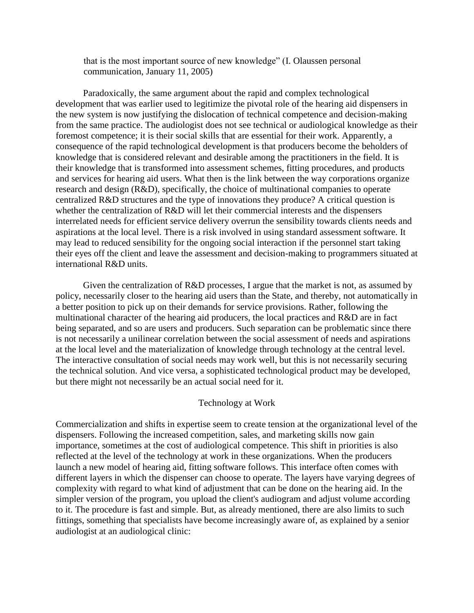that is the most important source of new knowledge" (I. Olaussen personal communication, January 11, 2005)

Paradoxically, the same argument about the rapid and complex technological development that was earlier used to legitimize the pivotal role of the hearing aid dispensers in the new system is now justifying the dislocation of technical competence and decision-making from the same practice. The audiologist does not see technical or audiological knowledge as their foremost competence; it is their social skills that are essential for their work. Apparently, a consequence of the rapid technological development is that producers become the beholders of knowledge that is considered relevant and desirable among the practitioners in the field. It is their knowledge that is transformed into assessment schemes, fitting procedures, and products and services for hearing aid users. What then is the link between the way corporations organize research and design (R&D), specifically, the choice of multinational companies to operate centralized R&D structures and the type of innovations they produce? A critical question is whether the centralization of R&D will let their commercial interests and the dispensers interrelated needs for efficient service delivery overrun the sensibility towards clients needs and aspirations at the local level. There is a risk involved in using standard assessment software. It may lead to reduced sensibility for the ongoing social interaction if the personnel start taking their eyes off the client and leave the assessment and decision-making to programmers situated at international R&D units.

Given the centralization of R&D processes, I argue that the market is not, as assumed by policy, necessarily closer to the hearing aid users than the State, and thereby, not automatically in a better position to pick up on their demands for service provisions. Rather, following the multinational character of the hearing aid producers, the local practices and R&D are in fact being separated, and so are users and producers. Such separation can be problematic since there is not necessarily a unilinear correlation between the social assessment of needs and aspirations at the local level and the materialization of knowledge through technology at the central level. The interactive consultation of social needs may work well, but this is not necessarily securing the technical solution. And vice versa, a sophisticated technological product may be developed, but there might not necessarily be an actual social need for it.

# Technology at Work

Commercialization and shifts in expertise seem to create tension at the organizational level of the dispensers. Following the increased competition, sales, and marketing skills now gain importance, sometimes at the cost of audiological competence. This shift in priorities is also reflected at the level of the technology at work in these organizations. When the producers launch a new model of hearing aid, fitting software follows. This interface often comes with different layers in which the dispenser can choose to operate. The layers have varying degrees of complexity with regard to what kind of adjustment that can be done on the hearing aid. In the simpler version of the program, you upload the client's audiogram and adjust volume according to it. The procedure is fast and simple. But, as already mentioned, there are also limits to such fittings, something that specialists have become increasingly aware of, as explained by a senior audiologist at an audiological clinic: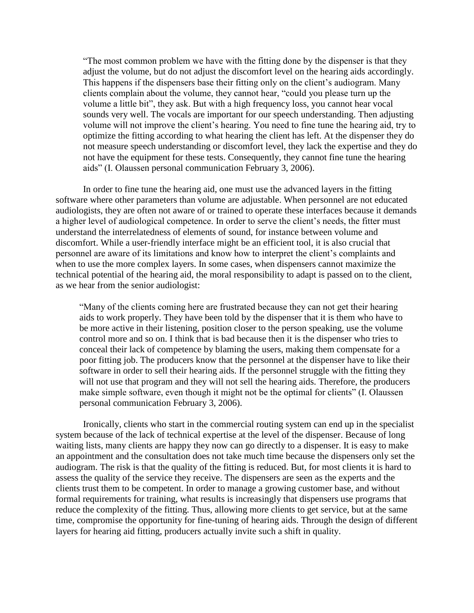"The most common problem we have with the fitting done by the dispenser is that they adjust the volume, but do not adjust the discomfort level on the hearing aids accordingly. This happens if the dispensers base their fitting only on the client's audiogram. Many clients complain about the volume, they cannot hear, "could you please turn up the volume a little bit", they ask. But with a high frequency loss, you cannot hear vocal sounds very well. The vocals are important for our speech understanding. Then adjusting volume will not improve the client's hearing. You need to fine tune the hearing aid, try to optimize the fitting according to what hearing the client has left. At the dispenser they do not measure speech understanding or discomfort level, they lack the expertise and they do not have the equipment for these tests. Consequently, they cannot fine tune the hearing aids" (I. Olaussen personal communication February 3, 2006).

In order to fine tune the hearing aid, one must use the advanced layers in the fitting software where other parameters than volume are adjustable. When personnel are not educated audiologists, they are often not aware of or trained to operate these interfaces because it demands a higher level of audiological competence. In order to serve the client's needs, the fitter must understand the interrelatedness of elements of sound, for instance between volume and discomfort. While a user-friendly interface might be an efficient tool, it is also crucial that personnel are aware of its limitations and know how to interpret the client's complaints and when to use the more complex layers. In some cases, when dispensers cannot maximize the technical potential of the hearing aid, the moral responsibility to adapt is passed on to the client, as we hear from the senior audiologist:

"Many of the clients coming here are frustrated because they can not get their hearing aids to work properly. They have been told by the dispenser that it is them who have to be more active in their listening, position closer to the person speaking, use the volume control more and so on. I think that is bad because then it is the dispenser who tries to conceal their lack of competence by blaming the users, making them compensate for a poor fitting job. The producers know that the personnel at the dispenser have to like their software in order to sell their hearing aids. If the personnel struggle with the fitting they will not use that program and they will not sell the hearing aids. Therefore, the producers make simple software, even though it might not be the optimal for clients" (I. Olaussen personal communication February 3, 2006).

Ironically, clients who start in the commercial routing system can end up in the specialist system because of the lack of technical expertise at the level of the dispenser. Because of long waiting lists, many clients are happy they now can go directly to a dispenser. It is easy to make an appointment and the consultation does not take much time because the dispensers only set the audiogram. The risk is that the quality of the fitting is reduced. But, for most clients it is hard to assess the quality of the service they receive. The dispensers are seen as the experts and the clients trust them to be competent. In order to manage a growing customer base, and without formal requirements for training, what results is increasingly that dispensers use programs that reduce the complexity of the fitting. Thus, allowing more clients to get service, but at the same time, compromise the opportunity for fine-tuning of hearing aids. Through the design of different layers for hearing aid fitting, producers actually invite such a shift in quality.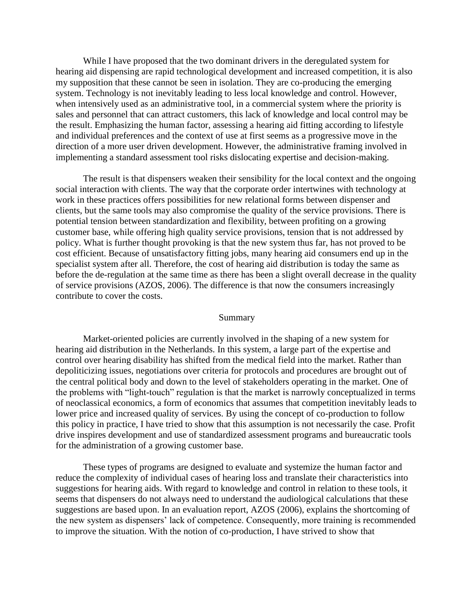While I have proposed that the two dominant drivers in the deregulated system for hearing aid dispensing are rapid technological development and increased competition, it is also my supposition that these cannot be seen in isolation. They are co-producing the emerging system. Technology is not inevitably leading to less local knowledge and control. However, when intensively used as an administrative tool, in a commercial system where the priority is sales and personnel that can attract customers, this lack of knowledge and local control may be the result. Emphasizing the human factor, assessing a hearing aid fitting according to lifestyle and individual preferences and the context of use at first seems as a progressive move in the direction of a more user driven development. However, the administrative framing involved in implementing a standard assessment tool risks dislocating expertise and decision-making.

The result is that dispensers weaken their sensibility for the local context and the ongoing social interaction with clients. The way that the corporate order intertwines with technology at work in these practices offers possibilities for new relational forms between dispenser and clients, but the same tools may also compromise the quality of the service provisions. There is potential tension between standardization and flexibility, between profiting on a growing customer base, while offering high quality service provisions, tension that is not addressed by policy. What is further thought provoking is that the new system thus far, has not proved to be cost efficient. Because of unsatisfactory fitting jobs, many hearing aid consumers end up in the specialist system after all. Therefore, the cost of hearing aid distribution is today the same as before the de-regulation at the same time as there has been a slight overall decrease in the quality of service provisions (AZOS, 2006). The difference is that now the consumers increasingly contribute to cover the costs.

#### Summary

Market-oriented policies are currently involved in the shaping of a new system for hearing aid distribution in the Netherlands. In this system, a large part of the expertise and control over hearing disability has shifted from the medical field into the market. Rather than depoliticizing issues, negotiations over criteria for protocols and procedures are brought out of the central political body and down to the level of stakeholders operating in the market. One of the problems with "light-touch" regulation is that the market is narrowly conceptualized in terms of neoclassical economics, a form of economics that assumes that competition inevitably leads to lower price and increased quality of services. By using the concept of co-production to follow this policy in practice, I have tried to show that this assumption is not necessarily the case. Profit drive inspires development and use of standardized assessment programs and bureaucratic tools for the administration of a growing customer base.

These types of programs are designed to evaluate and systemize the human factor and reduce the complexity of individual cases of hearing loss and translate their characteristics into suggestions for hearing aids. With regard to knowledge and control in relation to these tools, it seems that dispensers do not always need to understand the audiological calculations that these suggestions are based upon. In an evaluation report, AZOS (2006), explains the shortcoming of the new system as dispensers' lack of competence. Consequently, more training is recommended to improve the situation. With the notion of co-production, I have strived to show that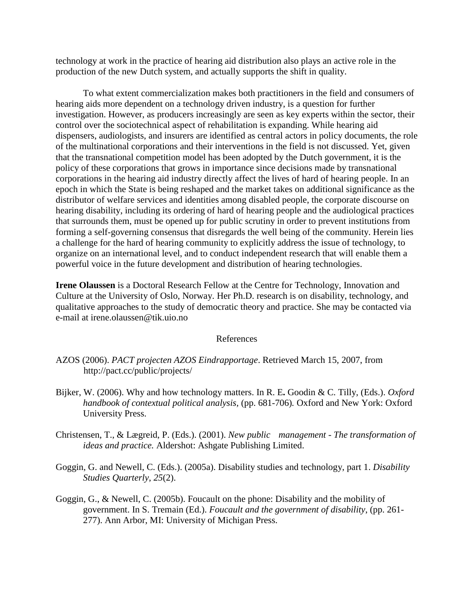technology at work in the practice of hearing aid distribution also plays an active role in the production of the new Dutch system, and actually supports the shift in quality.

To what extent commercialization makes both practitioners in the field and consumers of hearing aids more dependent on a technology driven industry, is a question for further investigation. However, as producers increasingly are seen as key experts within the sector, their control over the sociotechnical aspect of rehabilitation is expanding. While hearing aid dispensers, audiologists, and insurers are identified as central actors in policy documents, the role of the multinational corporations and their interventions in the field is not discussed. Yet, given that the transnational competition model has been adopted by the Dutch government, it is the policy of these corporations that grows in importance since decisions made by transnational corporations in the hearing aid industry directly affect the lives of hard of hearing people. In an epoch in which the State is being reshaped and the market takes on additional significance as the distributor of welfare services and identities among disabled people, the corporate discourse on hearing disability, including its ordering of hard of hearing people and the audiological practices that surrounds them, must be opened up for public scrutiny in order to prevent institutions from forming a self-governing consensus that disregards the well being of the community. Herein lies a challenge for the hard of hearing community to explicitly address the issue of technology, to organize on an international level, and to conduct independent research that will enable them a powerful voice in the future development and distribution of hearing technologies.

**Irene Olaussen** is a Doctoral Research Fellow at the Centre for Technology, Innovation and Culture at the University of Oslo, Norway. Her Ph.D. research is on disability, technology, and qualitative approaches to the study of democratic theory and practice. She may be contacted via e-mail at irene.olaussen@tik.uio.no

## References

- Bijker, W. (2006). Why and how technology matters. In R. E**.** Goodin & C. Tilly, (Eds.). *Oxford handbook of contextual political analysis, (pp. 681-706). Oxford and New York: Oxford* University Press.
- Christensen, T., & Lægreid, P. (Eds.). (2001). *New public management - The transformation of ideas and practice.* Aldershot: Ashgate Publishing Limited.
- Goggin, G. and Newell, C. (Eds.). (2005a). Disability studies and technology, part 1. *Disability Studies Quarterly*, *25*(2).
- Goggin, G., & Newell, C. (2005b). Foucault on the phone: Disability and the mobility of government. In S. Tremain (Ed.). *Foucault and the government of disability*, (pp. 261- 277). Ann Arbor, MI: University of Michigan Press.

AZOS (2006). *PACT projecten AZOS Eindrapportage*. Retrieved March 15, 2007, from http://pact.cc/public/projects/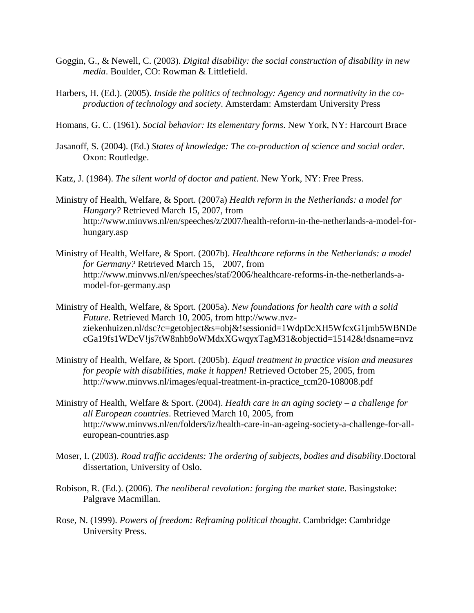- Goggin, G., & Newell, C. (2003). *Digital disability: the social construction of disability in new media*. Boulder, CO: Rowman & Littlefield.
- Harbers, H. (Ed.). (2005). *Inside the politics of technology: Agency and normativity in the coproduction of technology and society*. Amsterdam: Amsterdam University Press
- Homans, G. C. (1961). *Social behavior: Its elementary forms*. New York, NY: Harcourt Brace
- Jasanoff, S. (2004). (Ed.) *States of knowledge: The co-production of science and social order.* Oxon: Routledge.
- Katz, J. (1984). *The silent world of doctor and patient*. New York, NY: Free Press.
- Ministry of Health, Welfare, & Sport. (2007a) *Health reform in the Netherlands: a model for Hungary?* Retrieved March 15, 2007, from http://www.minvws.nl/en/speeches/z/2007/health-reform-in-the-netherlands-a-model-forhungary.asp
- Ministry of Health, Welfare, & Sport. (2007b). *Healthcare reforms in the Netherlands: a model for Germany?* Retrieved March 15, 2007, from http://www.minvws.nl/en/speeches/staf/2006/healthcare-reforms-in-the-netherlands-amodel-for-germany.asp
- Ministry of Health, Welfare, & Sport. (2005a). *New foundations for health care with a solid Future*. Retrieved March 10, 2005, from http://www.nvzziekenhuizen.nl/dsc?c=getobject&s=obj&!sessionid=1WdpDcXH5WfcxG1jmb5WBNDe cGa19fs1WDcV!js7tW8nhb9oWMdxXGwqyxTagM31&objectid=15142&!dsname=nvz
- Ministry of Health, Welfare, & Sport. (2005b). *Equal treatment in practice vision and measures for people with disabilities, make it happen!* Retrieved October 25, 2005, from http://www.minvws.nl/images/equal-treatment-in-practice\_tcm20-108008.pdf
- Ministry of Health, Welfare & Sport. (2004). *Health care in an aging society – a challenge for all European countries*. Retrieved March 10, 2005, from http://www.minvws.nl/en/folders/iz/health-care-in-an-ageing-society-a-challenge-for-alleuropean-countries.asp
- Moser, I. (2003). *Road traffic accidents: The ordering of subjects, bodies and disability.*Doctoral dissertation, University of Oslo.
- Robison, R. (Ed.). (2006). *The neoliberal revolution: forging the market state*. Basingstoke: Palgrave Macmillan.
- Rose, N. (1999). *Powers of freedom: Reframing political thought*. Cambridge: Cambridge University Press.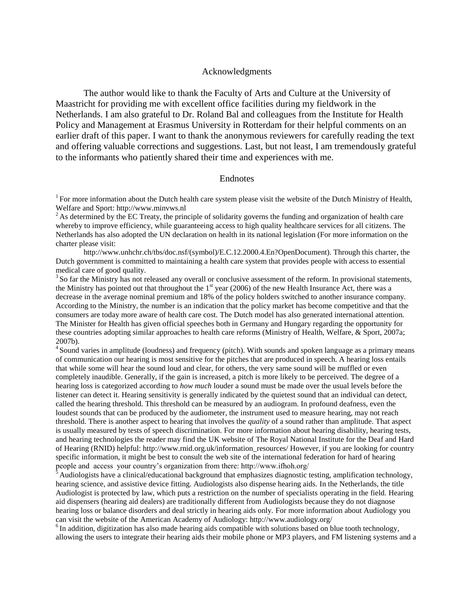#### Acknowledgments

The author would like to thank the Faculty of Arts and Culture at the University of Maastricht for providing me with excellent office facilities during my fieldwork in the Netherlands. I am also grateful to Dr. Roland Bal and colleagues from the Institute for Health Policy and Management at Erasmus University in Rotterdam for their helpful comments on an earlier draft of this paper. I want to thank the anonymous reviewers for carefully reading the text and offering valuable corrections and suggestions. Last, but not least, I am tremendously grateful to the informants who patiently shared their time and experiences with me.

#### Endnotes

<sup>1</sup> For more information about the Dutch health care system please visit the website of the Dutch Ministry of Health, Welfare and Sport[: http://www.minvws.nl](http://www.minvws.nl/)

<sup>2</sup> As determined by the EC Treaty, the principle of solidarity governs the funding and organization of health care whereby to improve efficiency, while guaranteeing access to high quality healthcare services for all citizens. The Netherlands has also adopted the UN declaration on health in its national legislation (For more information on the charter please visit:

http://www.unhchr.ch/tbs/doc.nsf/(symbol)/E.C.12.2000.4.En?OpenDocument). Through this charter, the Dutch government is committed to maintaining a health care system that provides people with access to essential medical care of good quality.

<sup>3</sup> So far the Ministry has not released any overall or conclusive assessment of the reform. In provisional statements, the Ministry has pointed out that throughout the  $1<sup>st</sup>$  year (2006) of the new Health Insurance Act, there was a decrease in the average nominal premium and 18% of the policy holders switched to another insurance company. According to the Ministry, the number is an indication that the policy market has become competitive and that the consumers are today more aware of health care cost. The Dutch model has also generated international attention. The Minister for Health has given official speeches both in Germany and Hungary regarding the opportunity for these countries adopting similar approaches to health care reforms (Ministry of Health, Welfare, & Sport, 2007a; 2007b).

<sup>4</sup> Sound varies in amplitude (loudness) and frequency (pitch). With sounds and spoken language as a primary means of communication our hearing is most sensitive for the pitches that are produced in speech. A hearing loss entails that while some will hear the sound loud and clear, for others, the very same sound will be muffled or even completely inaudible. Generally, if the gain is increased, a pitch is more likely to be perceived. The degree of a hearing loss is categorized according to *how much* louder a sound must be made over the usual levels before the listener can detect it. Hearing sensitivity is generally indicated by the quietest sound that an individual can detect, called the hearing threshold. This threshold can be measured by an audiogram. In profound deafness, even the loudest sounds that can be produced by the audiometer, the instrument used to measure hearing, may not reach threshold. There is another aspect to hearing that involves the *quality* of a sound rather than amplitude. That aspect is usually measured by tests of speech discrimination. For more information about hearing disability, hearing tests, and hearing technologies the reader may find the UK website of The Royal National Institute for the Deaf and Hard of Hearing (RNID) helpful: http://www.rnid.org.uk/information\_resources/ However, if you are looking for country specific information, it might be best to consult the web site of the international federation for hard of hearing people and access your country's organization from there: http://www.ifhoh.org/

Audiologists have a clinical/educational background that emphasizes diagnostic testing, amplification technology, hearing science, and assistive device fitting. Audiologists also dispense hearing aids. In the Netherlands, the title Audiologist is protected by law, which puts a restriction on the number of specialists operating in the field. Hearing aid dispensers (hearing aid dealers) are traditionally different from Audiologists because they do not diagnose hearing loss or balance disorders and deal strictly in hearing aids only. For more information about Audiology you can visit the website of the American Academy of Audiology: http://www.audiology.org/

 $6$ In addition, digitization has also made hearing aids compatible with solutions based on blue tooth technology, allowing the users to integrate their hearing aids their mobile phone or MP3 players, and FM listening systems and a